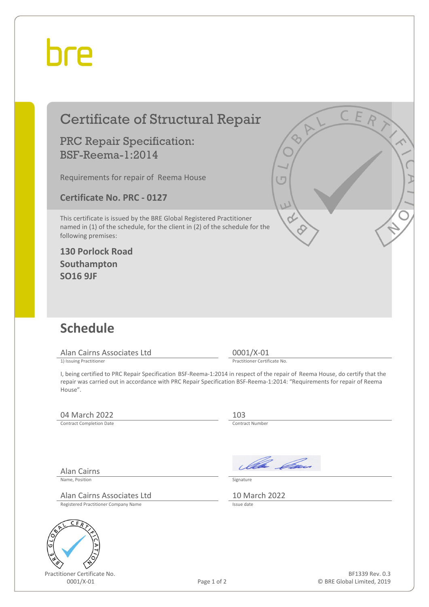## bre

|                                                                            | <b>Certificate of Structural Repair</b>                                                                                                                                                                                                                | C E R                                                                          |
|----------------------------------------------------------------------------|--------------------------------------------------------------------------------------------------------------------------------------------------------------------------------------------------------------------------------------------------------|--------------------------------------------------------------------------------|
|                                                                            | <b>PRC Repair Specification:</b><br><b>BSF-Reema-1:2014</b>                                                                                                                                                                                            |                                                                                |
|                                                                            | Requirements for repair of Reema House                                                                                                                                                                                                                 | $\overline{C}$                                                                 |
|                                                                            | <b>Certificate No. PRC - 0127</b>                                                                                                                                                                                                                      |                                                                                |
| following premises:<br>Southampton<br><b>SO16 9JF</b>                      | This certificate is issued by the BRE Global Registered Practitioner<br>named in (1) of the schedule, for the client in (2) of the schedule for the<br><b>130 Porlock Road</b>                                                                         | W                                                                              |
| <b>Schedule</b>                                                            | Alan Cairns Associates Ltd                                                                                                                                                                                                                             | 0001/X-01                                                                      |
| 1) Issuing Practitioner                                                    |                                                                                                                                                                                                                                                        | Practitioner Certificate No.                                                   |
| House".                                                                    | I, being certified to PRC Repair Specification BSF-Reema-1:2014 in respect of the repair of Reema House, do certify that the<br>repair was carried out in accordance with PRC Repair Specification BSF-Reema-1:2014: "Requirements for repair of Reema |                                                                                |
| 04 March 2022                                                              |                                                                                                                                                                                                                                                        | 103                                                                            |
| <b>Contract Completion Date</b>                                            |                                                                                                                                                                                                                                                        | Contract Number                                                                |
| <b>Alan Cairns</b><br>Name, Position<br>Εi<br>Practitioner Certificate No. | Alan Cairns Associates Ltd<br>Registered Practitioner Company Name                                                                                                                                                                                     | Ila <i>Da</i> n<br>Signature<br>10 March 2022<br>Issue date<br>BF1339 Rev. 0.3 |
| 0001/X-01                                                                  | Page 1 of 2                                                                                                                                                                                                                                            | © BRE Global Limited, 2019                                                     |